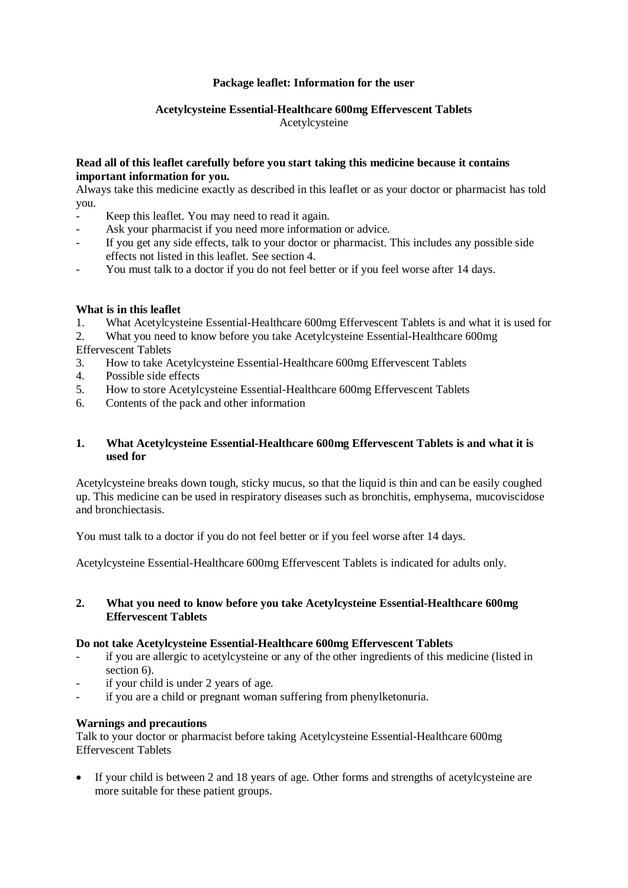## **Package leaflet: Information for the user**

# **Acetylcysteine Essential-Healthcare 600mg Effervescent Tablets**

Acetylcysteine

## **Read all of this leaflet carefully before you start taking this medicine because it contains important information for you.**

Always take this medicine exactly as described in this leaflet or as your doctor or pharmacist has told you.

- Keep this leaflet. You may need to read it again.
- Ask your pharmacist if you need more information or advice.
- If you get any side effects, talk to your doctor or pharmacist. This includes any possible side effects not listed in this leaflet. See section 4.
- You must talk to a doctor if you do not feel better or if you feel worse after 14 days.

## **What is in this leaflet**

- 1. What Acetylcysteine Essential-Healthcare 600mg Effervescent Tablets is and what it is used for
- 2. What you need to know before you take Acetylcysteine Essential-Healthcare 600mg
- Effervescent Tablets
- 3. How to take Acetylcysteine Essential-Healthcare 600mg Effervescent Tablets
- 4. Possible side effects
- 5. How to store Acetylcysteine Essential-Healthcare 600mg Effervescent Tablets
- 6. Contents of the pack and other information

## **1. What Acetylcysteine Essential-Healthcare 600mg Effervescent Tablets is and what it is used for**

Acetylcysteine breaks down tough, sticky mucus, so that the liquid is thin and can be easily coughed up. This medicine can be used in respiratory diseases such as bronchitis, emphysema, mucoviscidose and bronchiectasis.

You must talk to a doctor if you do not feel better or if you feel worse after 14 days.

Acetylcysteine Essential-Healthcare 600mg Effervescent Tablets is indicated for adults only.

## **2. What you need to know before you take Acetylcysteine Essential-Healthcare 600mg Effervescent Tablets**

## **Do not take Acetylcysteine Essential-Healthcare 600mg Effervescent Tablets**

- if you are allergic to acetylcysteine or any of the other ingredients of this medicine (listed in section 6).
- if your child is under 2 years of age.
- if you are a child or pregnant woman suffering from phenylketonuria.

## **Warnings and precautions**

Talk to your doctor or pharmacist before taking Acetylcysteine Essential-Healthcare 600mg Effervescent Tablets

 If your child is between 2 and 18 years of age. Other forms and strengths of acetylcysteine are more suitable for these patient groups.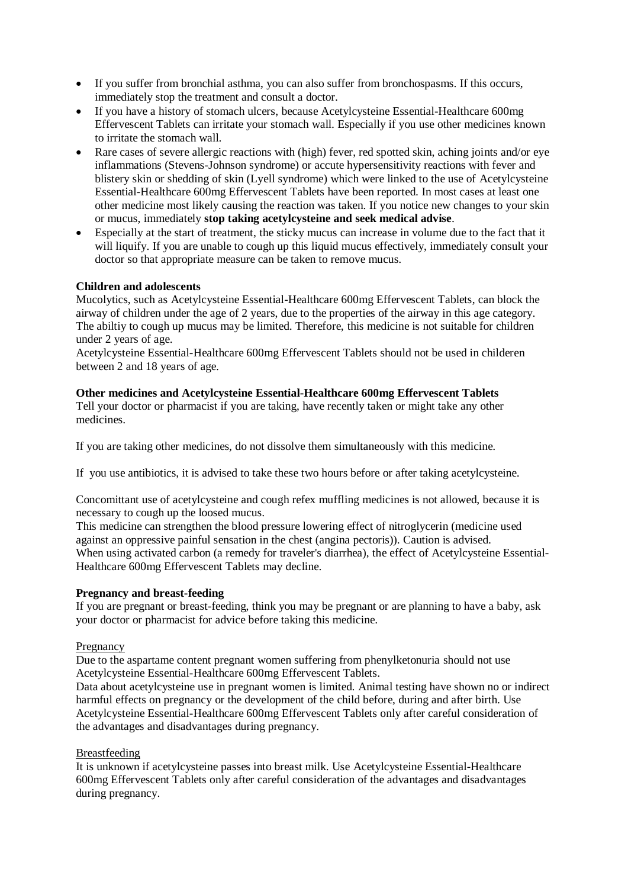- If you suffer from bronchial asthma, you can also suffer from bronchospasms. If this occurs, immediately stop the treatment and consult a doctor.
- If you have a history of stomach ulcers, because Acetylcysteine Essential-Healthcare 600mg Effervescent Tablets can irritate your stomach wall. Especially if you use other medicines known to irritate the stomach wall.
- Rare cases of severe allergic reactions with (high) fever, red spotted skin, aching joints and/or eye inflammations (Stevens-Johnson syndrome) or accute hypersensitivity reactions with fever and blistery skin or shedding of skin (Lyell syndrome) which were linked to the use of Acetylcysteine Essential-Healthcare 600mg Effervescent Tablets have been reported. In most cases at least one other medicine most likely causing the reaction was taken. If you notice new changes to your skin or mucus, immediately **stop taking acetylcysteine and seek medical advise**.
- Especially at the start of treatment, the sticky mucus can increase in volume due to the fact that it will liquify. If you are unable to cough up this liquid mucus effectively, immediately consult your doctor so that appropriate measure can be taken to remove mucus.

## **Children and adolescents**

Mucolytics, such as Acetylcysteine Essential-Healthcare 600mg Effervescent Tablets, can block the airway of children under the age of 2 years, due to the properties of the airway in this age category. The abiltiy to cough up mucus may be limited. Therefore, this medicine is not suitable for children under 2 years of age.

Acetylcysteine Essential-Healthcare 600mg Effervescent Tablets should not be used in childeren between 2 and 18 years of age.

#### **Other medicines and Acetylcysteine Essential-Healthcare 600mg Effervescent Tablets** Tell your doctor or pharmacist if you are taking, have recently taken or might take any other medicines.

If you are taking other medicines, do not dissolve them simultaneously with this medicine.

If you use antibiotics, it is advised to take these two hours before or after taking acetylcysteine.

Concomittant use of acetylcysteine and cough refex muffling medicines is not allowed, because it is necessary to cough up the loosed mucus.

This medicine can strengthen the blood pressure lowering effect of nitroglycerin (medicine used against an oppressive painful sensation in the chest (angina pectoris)). Caution is advised. When using activated carbon (a remedy for traveler's diarrhea), the effect of Acetylcysteine Essential-Healthcare 600mg Effervescent Tablets may decline.

## **Pregnancy and breast-feeding**

If you are pregnant or breast-feeding, think you may be pregnant or are planning to have a baby, ask your doctor or pharmacist for advice before taking this medicine.

## Pregnancy

Due to the aspartame content pregnant women suffering from phenylketonuria should not use Acetylcysteine Essential-Healthcare 600mg Effervescent Tablets.

Data about acetylcysteine use in pregnant women is limited. Animal testing have shown no or indirect harmful effects on pregnancy or the development of the child before, during and after birth. Use Acetylcysteine Essential-Healthcare 600mg Effervescent Tablets only after careful consideration of the advantages and disadvantages during pregnancy.

## Breastfeeding

It is unknown if acetylcysteine passes into breast milk. Use Acetylcysteine Essential-Healthcare 600mg Effervescent Tablets only after careful consideration of the advantages and disadvantages during pregnancy.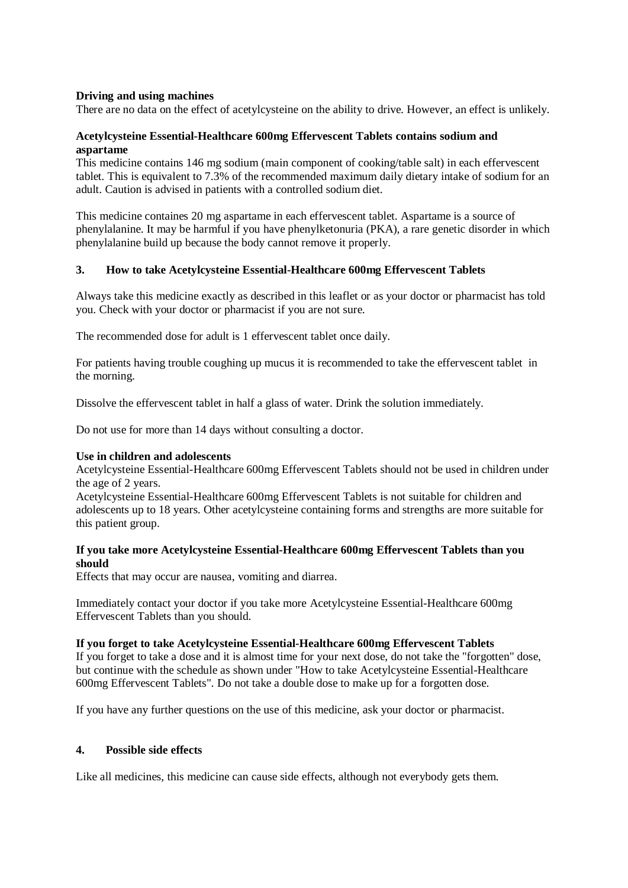## **Driving and using machines**

There are no data on the effect of acetylcysteine on the ability to drive. However, an effect is unlikely.

## **Acetylcysteine Essential-Healthcare 600mg Effervescent Tablets contains sodium and aspartame**

This medicine contains 146 mg sodium (main component of cooking/table salt) in each effervescent tablet. This is equivalent to 7.3% of the recommended maximum daily dietary intake of sodium for an adult. Caution is advised in patients with a controlled sodium diet.

This medicine containes 20 mg aspartame in each effervescent tablet. Aspartame is a source of phenylalanine. It may be harmful if you have phenylketonuria (PKA), a rare genetic disorder in which phenylalanine build up because the body cannot remove it properly.

## **3. How to take Acetylcysteine Essential-Healthcare 600mg Effervescent Tablets**

Always take this medicine exactly as described in this leaflet or as your doctor or pharmacist has told you. Check with your doctor or pharmacist if you are not sure.

The recommended dose for adult is 1 effervescent tablet once daily.

For patients having trouble coughing up mucus it is recommended to take the effervescent tablet in the morning.

Dissolve the effervescent tablet in half a glass of water. Drink the solution immediately.

Do not use for more than 14 days without consulting a doctor.

## **Use in children and adolescents**

Acetylcysteine Essential-Healthcare 600mg Effervescent Tablets should not be used in children under the age of 2 years.

Acetylcysteine Essential-Healthcare 600mg Effervescent Tablets is not suitable for children and adolescents up to 18 years. Other acetylcysteine containing forms and strengths are more suitable for this patient group.

## **If you take more Acetylcysteine Essential-Healthcare 600mg Effervescent Tablets than you should**

Effects that may occur are nausea, vomiting and diarrea.

Immediately contact your doctor if you take more Acetylcysteine Essential-Healthcare 600mg Effervescent Tablets than you should.

#### **If you forget to take Acetylcysteine Essential-Healthcare 600mg Effervescent Tablets**

If you forget to take a dose and it is almost time for your next dose, do not take the "forgotten" dose, but continue with the schedule as shown under "How to take Acetylcysteine Essential-Healthcare 600mg Effervescent Tablets". Do not take a double dose to make up for a forgotten dose.

If you have any further questions on the use of this medicine, ask your doctor or pharmacist.

## **4. Possible side effects**

Like all medicines, this medicine can cause side effects, although not everybody gets them.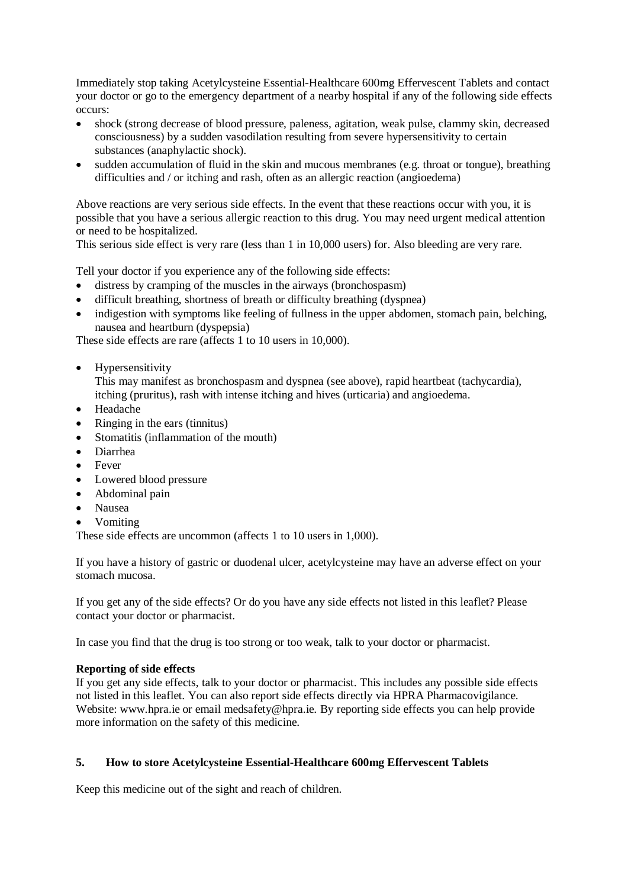Immediately stop taking Acetylcysteine Essential-Healthcare 600mg Effervescent Tablets and contact your doctor or go to the emergency department of a nearby hospital if any of the following side effects occurs:

- shock (strong decrease of blood pressure, paleness, agitation, weak pulse, clammy skin, decreased consciousness) by a sudden vasodilation resulting from severe hypersensitivity to certain substances (anaphylactic shock).
- sudden accumulation of fluid in the skin and mucous membranes (e.g. throat or tongue), breathing difficulties and / or itching and rash, often as an allergic reaction (angioedema)

Above reactions are very serious side effects. In the event that these reactions occur with you, it is possible that you have a serious allergic reaction to this drug. You may need urgent medical attention or need to be hospitalized.

This serious side effect is very rare (less than 1 in 10,000 users) for. Also bleeding are very rare.

Tell your doctor if you experience any of the following side effects:

- distress by cramping of the muscles in the airways (bronchospasm)
- difficult breathing, shortness of breath or difficulty breathing (dyspnea)
- indigestion with symptoms like feeling of fullness in the upper abdomen, stomach pain, belching, nausea and heartburn (dyspepsia)

These side effects are rare (affects 1 to 10 users in 10,000).

• Hypersensitivity

This may manifest as bronchospasm and dyspnea (see above), rapid heartbeat (tachycardia), itching (pruritus), rash with intense itching and hives (urticaria) and angioedema.

- Headache
- Ringing in the ears (tinnitus)
- Stomatitis (inflammation of the mouth)
- Diarrhea
- Fever
- Lowered blood pressure
- Abdominal pain
- Nausea
- Vomiting

These side effects are uncommon (affects 1 to 10 users in 1,000).

If you have a history of gastric or duodenal ulcer, acetylcysteine may have an adverse effect on your stomach mucosa.

If you get any of the side effects? Or do you have any side effects not listed in this leaflet? Please contact your doctor or pharmacist.

In case you find that the drug is too strong or too weak, talk to your doctor or pharmacist.

## **Reporting of side effects**

If you get any side effects, talk to your doctor or pharmacist. This includes any possible side effects not listed in this leaflet. You can also report side effects directly via HPRA Pharmacovigilance. Website: www.hpra.ie or email medsafety@hpra.ie. By reporting side effects you can help provide more information on the safety of this medicine.

# **5. How to store Acetylcysteine Essential-Healthcare 600mg Effervescent Tablets**

Keep this medicine out of the sight and reach of children.